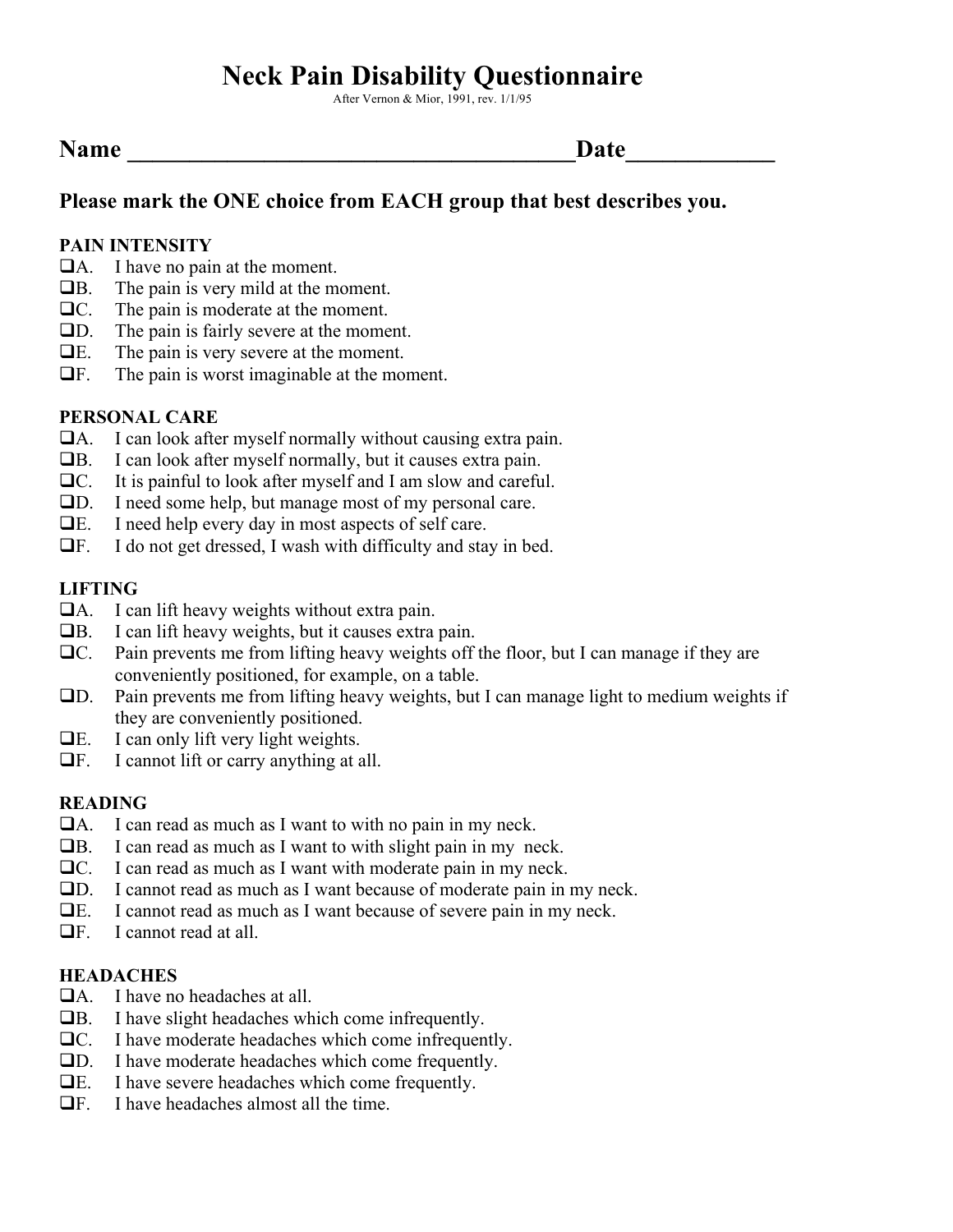# **Neck Pain Disability Questionnaire**

After Vernon & Mior, 1991, rev. 1/1/95

| <b>Name</b> | Date |
|-------------|------|
|-------------|------|

# **Please mark the ONE choice from EACH group that best describes you.**

#### **PAIN INTENSITY**

- $\Box$ A. I have no pain at the moment.
- $\Box$ B. The pain is very mild at the moment.
- $\Box$ C. The pain is moderate at the moment.
- $\Box$ D. The pain is fairly severe at the moment.
- $\Box E$ . The pain is very severe at the moment.
- $\Box$ F. The pain is worst imaginable at the moment.

#### **PERSONAL CARE**

- $\Box$ A. I can look after myself normally without causing extra pain.
- $\Box$ B. I can look after myself normally, but it causes extra pain.
- $\Box$ C. It is painful to look after myself and I am slow and careful.
- !D. I need some help, but manage most of my personal care.
- $\Box$  E. I need help every day in most aspects of self care.
- $\Box$  F. I do not get dressed, I wash with difficulty and stay in bed.

#### **LIFTING**

- $\Box$ A. I can lift heavy weights without extra pain.
- $\Box$ B. I can lift heavy weights, but it causes extra pain.
- $\Box$ C. Pain prevents me from lifting heavy weights off the floor, but I can manage if they are conveniently positioned, for example, on a table.
- !D. Pain prevents me from lifting heavy weights, but I can manage light to medium weights if they are conveniently positioned.
- $\Box E$ . I can only lift very light weights.
- $\Box$  F. I cannot lift or carry anything at all.

#### **READING**

- $\Box$ A. I can read as much as I want to with no pain in my neck.
- $\Box$ B. I can read as much as I want to with slight pain in my neck.
- $\Box$ C. I can read as much as I want with moderate pain in my neck.
- !D. I cannot read as much as I want because of moderate pain in my neck.
- !E. I cannot read as much as I want because of severe pain in my neck.
- $\Box$  F. I cannot read at all.

#### **HEADACHES**

- $\Box$ A. I have no headaches at all.
- $\Box$ B. I have slight headaches which come infrequently.
- $\Box$ C. I have moderate headaches which come infrequently.
- !D. I have moderate headaches which come frequently.
- $\Box$  E. I have severe headaches which come frequently.
- $\Box$  F. I have headaches almost all the time.